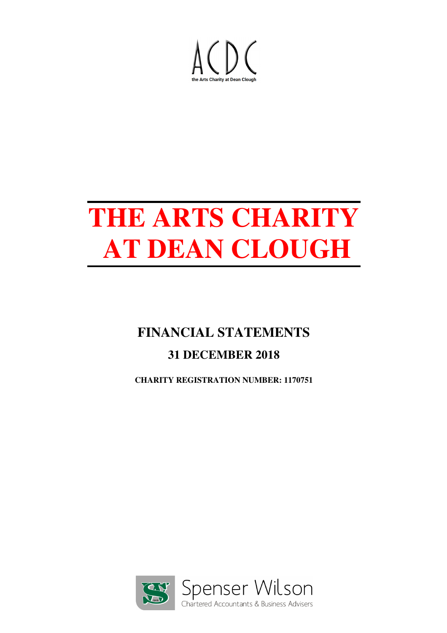

# **FINANCIAL STATEMENTS**

# **31 DECEMBER 2018**

**CHARITY REGISTRATION NUMBER: 1170751**

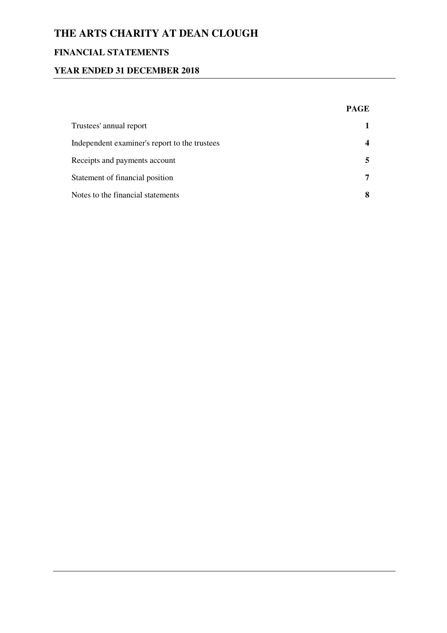## **FINANCIAL STATEMENTS**

#### **YEAR ENDED 31 DECEMBER 2018**

|                                               | <b>PAGE</b> |
|-----------------------------------------------|-------------|
| Trustees' annual report                       |             |
| Independent examiner's report to the trustees |             |
| Receipts and payments account                 | 5.          |
| Statement of financial position               | 7           |
| Notes to the financial statements             | 8           |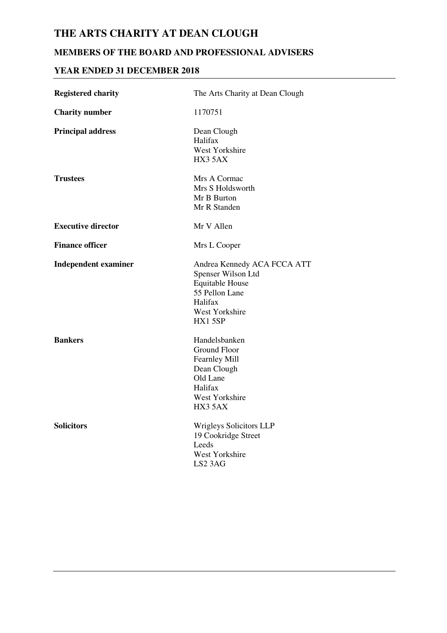## **MEMBERS OF THE BOARD AND PROFESSIONAL ADVISERS**

#### **YEAR ENDED 31 DECEMBER 2018**

| <b>Registered charity</b>   | The Arts Charity at Dean Clough                                                                                                      |
|-----------------------------|--------------------------------------------------------------------------------------------------------------------------------------|
| <b>Charity number</b>       | 1170751                                                                                                                              |
| <b>Principal address</b>    | Dean Clough<br>Halifax<br>West Yorkshire<br>HX3 5AX                                                                                  |
| <b>Trustees</b>             | Mrs A Cormac<br>Mrs S Holdsworth<br>Mr B Burton<br>Mr R Standen                                                                      |
| <b>Executive director</b>   | Mr V Allen                                                                                                                           |
| <b>Finance officer</b>      | Mrs L Cooper                                                                                                                         |
| <b>Independent examiner</b> | Andrea Kennedy ACA FCCA ATT<br>Spenser Wilson Ltd<br><b>Equitable House</b><br>55 Pellon Lane<br>Halifax<br>West Yorkshire<br>HX15SP |
| <b>Bankers</b>              | Handelsbanken<br>Ground Floor<br><b>Fearnley Mill</b><br>Dean Clough<br>Old Lane<br>Halifax<br>West Yorkshire<br>HX3 5AX             |
| <b>Solicitors</b>           | <b>Wrigleys Solicitors LLP</b><br>19 Cookridge Street<br>Leeds<br>West Yorkshire<br>LS2 3AG                                          |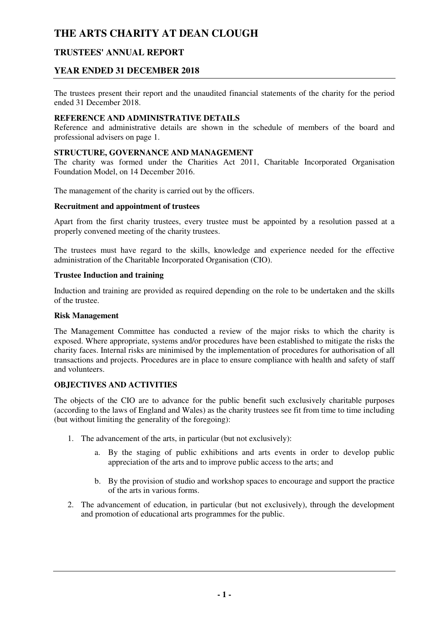#### **TRUSTEES' ANNUAL REPORT**

#### **YEAR ENDED 31 DECEMBER 2018**

The trustees present their report and the unaudited financial statements of the charity for the period ended 31 December 2018.

#### **REFERENCE AND ADMINISTRATIVE DETAILS**

Reference and administrative details are shown in the schedule of members of the board and professional advisers on page 1.

#### **STRUCTURE, GOVERNANCE AND MANAGEMENT**

The charity was formed under the Charities Act 2011, Charitable Incorporated Organisation Foundation Model, on 14 December 2016.

The management of the charity is carried out by the officers.

#### **Recruitment and appointment of trustees**

Apart from the first charity trustees, every trustee must be appointed by a resolution passed at a properly convened meeting of the charity trustees.

The trustees must have regard to the skills, knowledge and experience needed for the effective administration of the Charitable Incorporated Organisation (CIO).

#### **Trustee Induction and training**

Induction and training are provided as required depending on the role to be undertaken and the skills of the trustee.

#### **Risk Management**

The Management Committee has conducted a review of the major risks to which the charity is exposed. Where appropriate, systems and/or procedures have been established to mitigate the risks the charity faces. Internal risks are minimised by the implementation of procedures for authorisation of all transactions and projects. Procedures are in place to ensure compliance with health and safety of staff and volunteers.

#### **OBJECTIVES AND ACTIVITIES**

The objects of the CIO are to advance for the public benefit such exclusively charitable purposes (according to the laws of England and Wales) as the charity trustees see fit from time to time including (but without limiting the generality of the foregoing):

- 1. The advancement of the arts, in particular (but not exclusively):
	- a. By the staging of public exhibitions and arts events in order to develop public appreciation of the arts and to improve public access to the arts; and
	- b. By the provision of studio and workshop spaces to encourage and support the practice of the arts in various forms.
- 2. The advancement of education, in particular (but not exclusively), through the development and promotion of educational arts programmes for the public.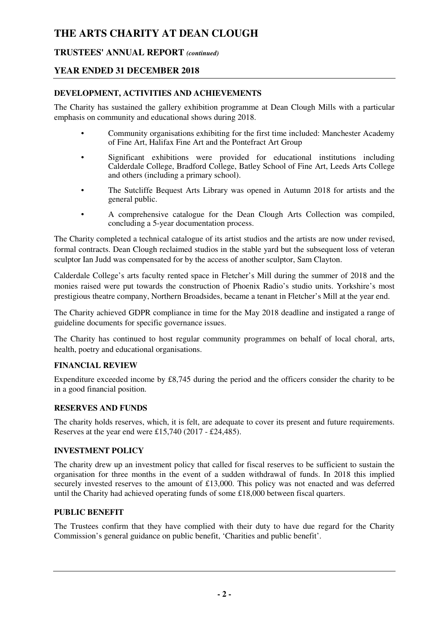#### **TRUSTEES' ANNUAL REPORT** *(continued)*

#### **YEAR ENDED 31 DECEMBER 2018**

#### **DEVELOPMENT, ACTIVITIES AND ACHIEVEMENTS**

The Charity has sustained the gallery exhibition programme at Dean Clough Mills with a particular emphasis on community and educational shows during 2018.

- Community organisations exhibiting for the first time included: Manchester Academy of Fine Art, Halifax Fine Art and the Pontefract Art Group
- Significant exhibitions were provided for educational institutions including Calderdale College, Bradford College, Batley School of Fine Art, Leeds Arts College and others (including a primary school).
- The Sutcliffe Bequest Arts Library was opened in Autumn 2018 for artists and the general public.
- A comprehensive catalogue for the Dean Clough Arts Collection was compiled, concluding a 5-year documentation process.

The Charity completed a technical catalogue of its artist studios and the artists are now under revised, formal contracts. Dean Clough reclaimed studios in the stable yard but the subsequent loss of veteran sculptor Ian Judd was compensated for by the access of another sculptor, Sam Clayton.

Calderdale College's arts faculty rented space in Fletcher's Mill during the summer of 2018 and the monies raised were put towards the construction of Phoenix Radio's studio units. Yorkshire's most prestigious theatre company, Northern Broadsides, became a tenant in Fletcher's Mill at the year end.

The Charity achieved GDPR compliance in time for the May 2018 deadline and instigated a range of guideline documents for specific governance issues.

The Charity has continued to host regular community programmes on behalf of local choral, arts, health, poetry and educational organisations.

#### **FINANCIAL REVIEW**

Expenditure exceeded income by £8,745 during the period and the officers consider the charity to be in a good financial position.

#### **RESERVES AND FUNDS**

The charity holds reserves, which, it is felt, are adequate to cover its present and future requirements. Reserves at the year end were £15,740 (2017 - £24,485).

#### **INVESTMENT POLICY**

The charity drew up an investment policy that called for fiscal reserves to be sufficient to sustain the organisation for three months in the event of a sudden withdrawal of funds. In 2018 this implied securely invested reserves to the amount of £13,000. This policy was not enacted and was deferred until the Charity had achieved operating funds of some £18,000 between fiscal quarters.

#### **PUBLIC BENEFIT**

The Trustees confirm that they have complied with their duty to have due regard for the Charity Commission's general guidance on public benefit, 'Charities and public benefit'.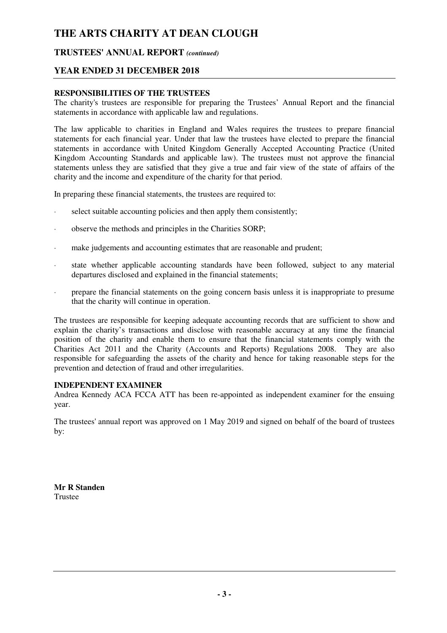#### **TRUSTEES' ANNUAL REPORT** *(continued)*

#### **YEAR ENDED 31 DECEMBER 2018**

#### **RESPONSIBILITIES OF THE TRUSTEES**

The charity's trustees are responsible for preparing the Trustees' Annual Report and the financial statements in accordance with applicable law and regulations.

The law applicable to charities in England and Wales requires the trustees to prepare financial statements for each financial year. Under that law the trustees have elected to prepare the financial statements in accordance with United Kingdom Generally Accepted Accounting Practice (United Kingdom Accounting Standards and applicable law). The trustees must not approve the financial statements unless they are satisfied that they give a true and fair view of the state of affairs of the charity and the income and expenditure of the charity for that period.

In preparing these financial statements, the trustees are required to:

- select suitable accounting policies and then apply them consistently;
- · observe the methods and principles in the Charities SORP;
- · make judgements and accounting estimates that are reasonable and prudent;
- · state whether applicable accounting standards have been followed, subject to any material departures disclosed and explained in the financial statements;
- prepare the financial statements on the going concern basis unless it is inappropriate to presume that the charity will continue in operation.

The trustees are responsible for keeping adequate accounting records that are sufficient to show and explain the charity's transactions and disclose with reasonable accuracy at any time the financial position of the charity and enable them to ensure that the financial statements comply with the Charities Act 2011 and the Charity (Accounts and Reports) Regulations 2008. They are also responsible for safeguarding the assets of the charity and hence for taking reasonable steps for the prevention and detection of fraud and other irregularities.

#### **INDEPENDENT EXAMINER**

Andrea Kennedy ACA FCCA ATT has been re-appointed as independent examiner for the ensuing year.

The trustees' annual report was approved on 1 May 2019 and signed on behalf of the board of trustees by:

**Mr R Standen**  Trustee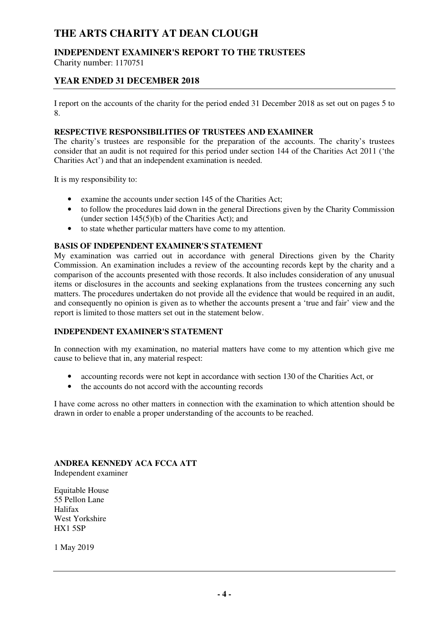## **INDEPENDENT EXAMINER'S REPORT TO THE TRUSTEES**

Charity number: 1170751

#### **YEAR ENDED 31 DECEMBER 2018**

I report on the accounts of the charity for the period ended 31 December 2018 as set out on pages 5 to 8.

#### **RESPECTIVE RESPONSIBILITIES OF TRUSTEES AND EXAMINER**

The charity's trustees are responsible for the preparation of the accounts. The charity's trustees consider that an audit is not required for this period under section 144 of the Charities Act 2011 ('the Charities Act') and that an independent examination is needed.

It is my responsibility to:

- examine the accounts under section 145 of the Charities Act;
- to follow the procedures laid down in the general Directions given by the Charity Commission (under section  $145(5)(b)$  of the Charities Act); and
- to state whether particular matters have come to my attention.

#### **BASIS OF INDEPENDENT EXAMINER'S STATEMENT**

My examination was carried out in accordance with general Directions given by the Charity Commission. An examination includes a review of the accounting records kept by the charity and a comparison of the accounts presented with those records. It also includes consideration of any unusual items or disclosures in the accounts and seeking explanations from the trustees concerning any such matters. The procedures undertaken do not provide all the evidence that would be required in an audit, and consequently no opinion is given as to whether the accounts present a 'true and fair' view and the report is limited to those matters set out in the statement below.

#### **INDEPENDENT EXAMINER'S STATEMENT**

In connection with my examination, no material matters have come to my attention which give me cause to believe that in, any material respect:

- accounting records were not kept in accordance with section 130 of the Charities Act, or
- the accounts do not accord with the accounting records

I have come across no other matters in connection with the examination to which attention should be drawn in order to enable a proper understanding of the accounts to be reached.

**ANDREA KENNEDY ACA FCCA ATT**  Independent examiner

Equitable House 55 Pellon Lane Halifax West Yorkshire HX1 5SP

1 May 2019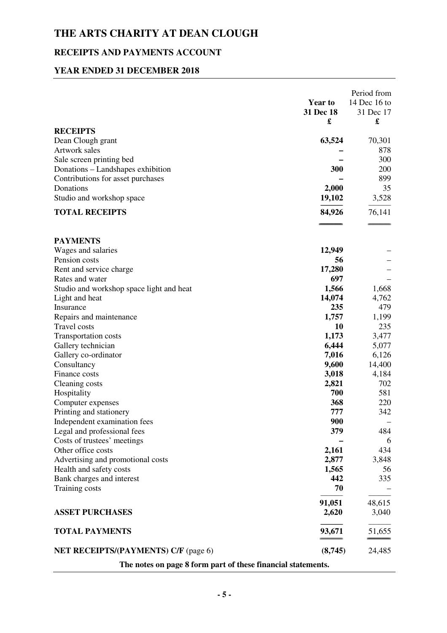# **RECEIPTS AND PAYMENTS ACCOUNT**

#### **YEAR ENDED 31 DECEMBER 2018**

|                                                                        | <b>Year to</b><br>31 Dec 18<br>£ | Period from<br>14 Dec 16 to<br>31 Dec 17<br>£ |  |
|------------------------------------------------------------------------|----------------------------------|-----------------------------------------------|--|
| <b>RECEIPTS</b>                                                        |                                  |                                               |  |
| Dean Clough grant                                                      | 63,524                           | 70,301                                        |  |
| Artwork sales                                                          |                                  | 878                                           |  |
| Sale screen printing bed                                               | 300                              | 300<br>200                                    |  |
| Donations - Landshapes exhibition<br>Contributions for asset purchases |                                  | 899                                           |  |
| Donations                                                              | 2,000                            | 35                                            |  |
| Studio and workshop space                                              | 19,102                           | 3,528                                         |  |
|                                                                        |                                  |                                               |  |
| <b>TOTAL RECEIPTS</b>                                                  | 84,926                           | 76,141                                        |  |
| <b>PAYMENTS</b>                                                        |                                  |                                               |  |
| Wages and salaries                                                     | 12,949                           |                                               |  |
| Pension costs                                                          | 56                               |                                               |  |
| Rent and service charge                                                | 17,280                           |                                               |  |
| Rates and water                                                        | 697                              |                                               |  |
| Studio and workshop space light and heat                               | 1,566                            | 1,668                                         |  |
| Light and heat                                                         | 14,074                           | 4,762                                         |  |
| Insurance                                                              | 235                              | 479                                           |  |
| Repairs and maintenance                                                | 1,757                            | 1,199                                         |  |
| <b>Travel costs</b>                                                    | 10                               | 235                                           |  |
| <b>Transportation costs</b>                                            | 1,173                            | 3,477                                         |  |
| Gallery technician                                                     | 6,444                            | 5,077                                         |  |
| Gallery co-ordinator                                                   | 7,016                            | 6,126                                         |  |
| Consultancy                                                            | 9,600                            | 14,400                                        |  |
| Finance costs                                                          | 3,018                            | 4,184                                         |  |
| Cleaning costs                                                         | 2,821                            | 702                                           |  |
| Hospitality                                                            | 700                              | 581                                           |  |
| Computer expenses                                                      | 368                              | 220                                           |  |
| Printing and stationery                                                | 777                              | 342                                           |  |
| Independent examination fees                                           | 900                              |                                               |  |
| Legal and professional fees                                            | 379                              | 484                                           |  |
| Costs of trustees' meetings                                            |                                  | 6                                             |  |
| Other office costs                                                     | 2,161                            | 434                                           |  |
| Advertising and promotional costs                                      | 2,877                            | 3,848                                         |  |
| Health and safety costs                                                | 1,565                            | 56                                            |  |
| Bank charges and interest                                              | 442                              | 335                                           |  |
| Training costs                                                         | 70                               |                                               |  |
|                                                                        | 91,051                           | 48,615                                        |  |
| <b>ASSET PURCHASES</b>                                                 | 2,620                            | 3,040                                         |  |
| <b>TOTAL PAYMENTS</b>                                                  | 93,671                           | 51,655                                        |  |
| <b>NET RECEIPTS/(PAYMENTS) C/F (page 6)</b>                            | (8,745)                          | 24,485                                        |  |
| The notes on page 8 form part of these financial statements.           |                                  |                                               |  |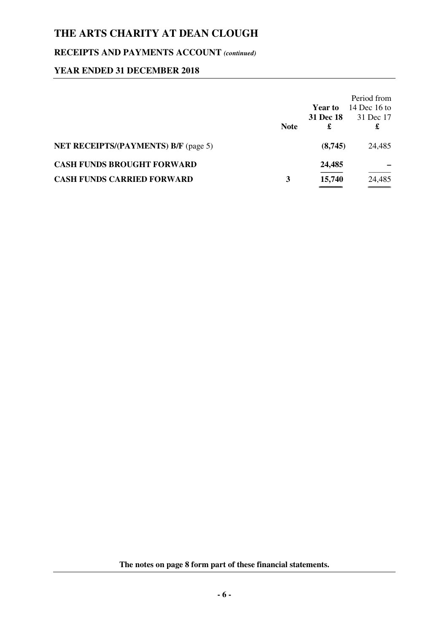## **RECEIPTS AND PAYMENTS ACCOUNT** *(continued)*

#### **YEAR ENDED 31 DECEMBER 2018**

|                                             | <b>Note</b> | <b>Year to</b><br><b>31 Dec 18</b><br>£ | Period from<br>14 Dec 16 to<br>31 Dec 17<br>£ |
|---------------------------------------------|-------------|-----------------------------------------|-----------------------------------------------|
| <b>NET RECEIPTS/(PAYMENTS) B/F (page 5)</b> |             | (8,745)                                 | 24,485                                        |
| <b>CASH FUNDS BROUGHT FORWARD</b>           |             | 24,485                                  |                                               |
| <b>CASH FUNDS CARRIED FORWARD</b>           | 3           | 15,740                                  | 24,485                                        |

**The notes on page 8 form part of these financial statements.**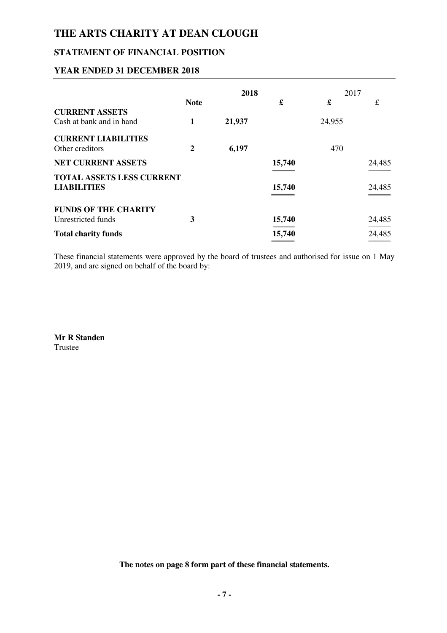#### **STATEMENT OF FINANCIAL POSITION**

#### **YEAR ENDED 31 DECEMBER 2018**

|                                                        | 2018             |        | 2017   |        |        |
|--------------------------------------------------------|------------------|--------|--------|--------|--------|
|                                                        | <b>Note</b>      |        | £      | £      | £      |
| <b>CURRENT ASSETS</b><br>Cash at bank and in hand      | 1                | 21,937 |        | 24,955 |        |
| <b>CURRENT LIABILITIES</b><br>Other creditors          | $\boldsymbol{2}$ | 6,197  |        | 470    |        |
| <b>NET CURRENT ASSETS</b>                              |                  |        | 15,740 |        | 24,485 |
| <b>TOTAL ASSETS LESS CURRENT</b><br><b>LIABILITIES</b> |                  |        | 15,740 |        | 24,485 |
| <b>FUNDS OF THE CHARITY</b><br>Unrestricted funds      | 3                |        | 15,740 |        | 24,485 |
| <b>Total charity funds</b>                             |                  |        | 15,740 |        | 24,485 |

These financial statements were approved by the board of trustees and authorised for issue on 1 May 2019, and are signed on behalf of the board by:

**Mr R Standen**  Trustee

**The notes on page 8 form part of these financial statements.**